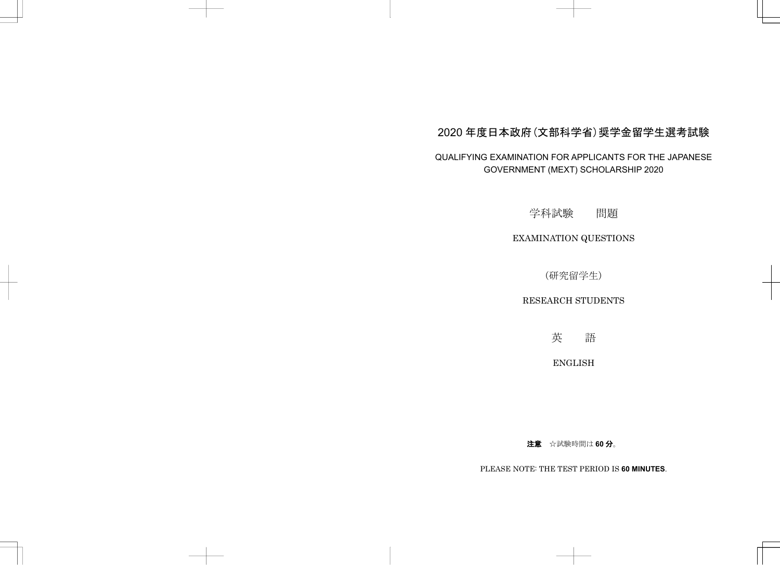# 2020 年度日本政府(文部科学省)奨学金留学生選考試験

## QUALIFYING EXAMINATION FOR APPLICANTS FOR THE JAPANESE GOVERNMENT (MEXT) SCHOLARSHIP 2020

学科試験 問題

### EXAMINATION QUESTIONS

(研究留学生)

### RESEARCH STUDENTS

英 語

ENGLISH

注意 ☆試験時間は **60** 分。

PLEASE NOTE: THE TEST PERIOD IS **60 MINUTES**.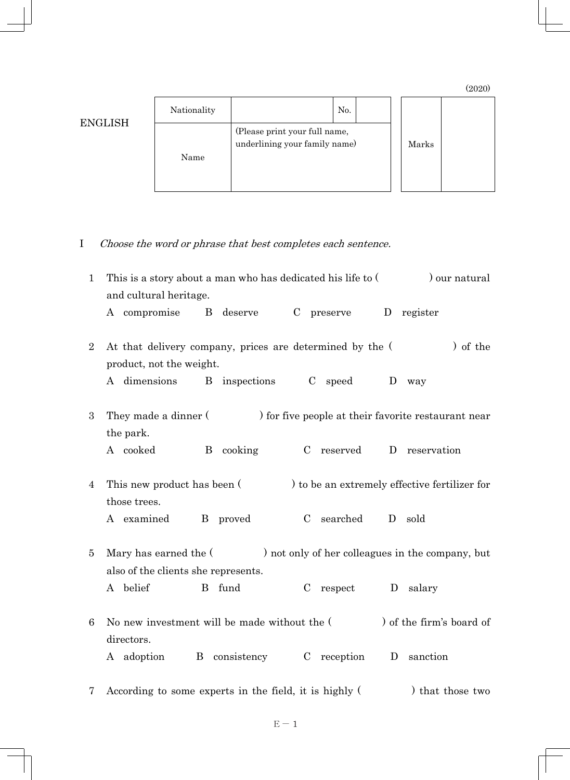(2020)

| <b>ENGLISH</b> | Nationality |                                                                | No. |  |       |  |
|----------------|-------------|----------------------------------------------------------------|-----|--|-------|--|
|                | Name        | (Please print your full name,<br>underlining your family name) |     |  | Marks |  |

### I Choose the word or phrase that best completes each sentence.

| $\mathbf{1}$   | This is a story about a man who has dedicated his life to (<br>) our natural<br>and cultural heritage.           |
|----------------|------------------------------------------------------------------------------------------------------------------|
|                | A compromise<br>B deserve<br>C preserve<br>D register                                                            |
| $\overline{2}$ | ) of the<br>At that delivery company, prices are determined by the (<br>product, not the weight.                 |
|                | A dimensions<br>B inspections<br>C speed<br>D<br>way                                                             |
| 3              | They made a dinner (<br>) for five people at their favorite restaurant near<br>the park.                         |
|                | A cooked<br>B cooking<br>C reserved<br>reservation<br>D                                                          |
| $\overline{4}$ | This new product has been (<br>) to be an extremely effective fertilizer for<br>those trees.                     |
|                | C searched<br>A examined<br>proved<br>sold<br>B<br>D                                                             |
| 5              | Mary has earned the (<br>) not only of her colleagues in the company, but<br>also of the clients she represents. |
|                | A belief<br>B fund<br>respect<br>$\mathcal{C}$<br>$\mathbf{D}$<br>salary                                         |
| 6              | No new investment will be made without the (<br>) of the firm's board of<br>directors.                           |
|                | C reception<br>A adoption<br>$\mathbf{B}$<br>consistency<br>D<br>sanction                                        |
| 7              | According to some experts in the field, it is highly (<br>) that those two                                       |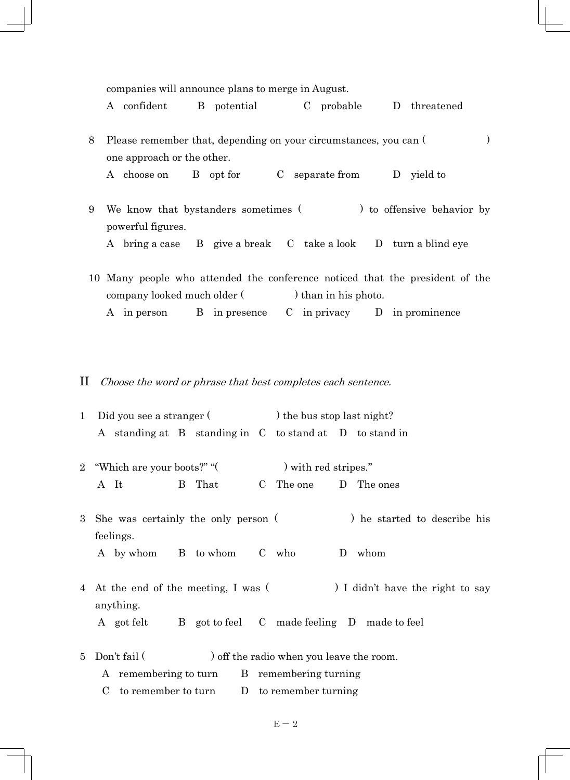companies will announce plans to merge in August.

|  | A confident |  | B potential |  | C probable |  | D threatened |
|--|-------------|--|-------------|--|------------|--|--------------|
|--|-------------|--|-------------|--|------------|--|--------------|

- 8 Please remember that, depending on your circumstances, you can ( ) one approach or the other.
	- A choose on B opt for C separate from D yield to
- 9 We know that bystanders sometimes ( ) to offensive behavior by powerful figures.

A bring a case B give a break C take a look D turn a blind eye

10 Many people who attended the conference noticed that the president of the company looked much older ( ) than in his photo.

A in person B in presence C in privacy D in prominence

II Choose the word or phrase that best completes each sentence.

- 1 Did you see a stranger ( ) the bus stop last night? A standing at B standing in C to stand at D to stand in
- 2 "Which are your boots?" "( ) with red stripes." A It B That C The one D The ones
- 3 She was certainly the only person ( ) he started to describe his feelings.

A by whom B to whom C who D whom

4 At the end of the meeting, I was () I didn't have the right to say anything.

A got felt B got to feel C made feeling D made to feel

- 5 Don't fail () off the radio when you leave the room.
	- A remembering to turn B remembering turning
	- $C$  to remember to turn  $D$  to remember turning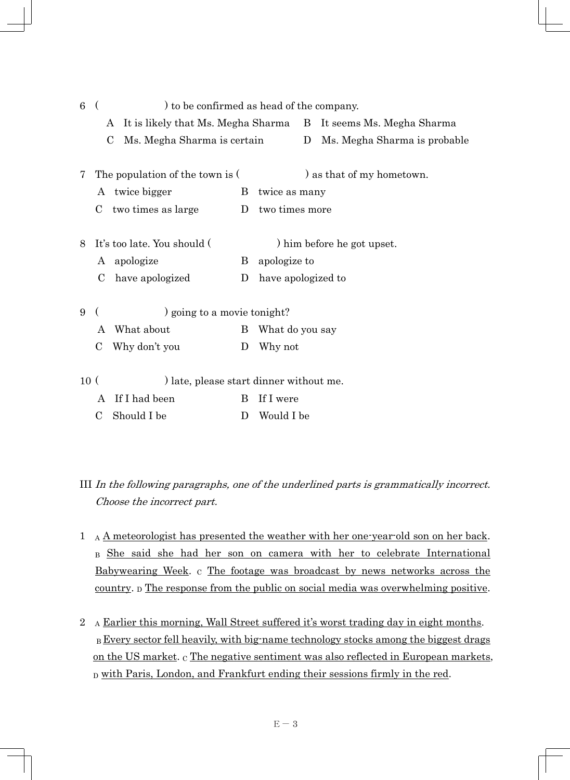| 6                                                          |               |                                            |   | ) to be confirmed as head of the company. |  |  |  |
|------------------------------------------------------------|---------------|--------------------------------------------|---|-------------------------------------------|--|--|--|
|                                                            |               | It is likely that Ms. Megha Sharma<br>A    |   | B It seems Ms. Megha Sharma               |  |  |  |
|                                                            |               | $\mathbf C$<br>Ms. Megha Sharma is certain |   | Ms. Megha Sharma is probable<br>D         |  |  |  |
|                                                            |               |                                            |   |                                           |  |  |  |
| 7                                                          |               | The population of the town is (            |   | ) as that of my hometown.                 |  |  |  |
|                                                            |               | A twice bigger                             | B | twice as many                             |  |  |  |
|                                                            | $\mathbf C$   | two times as large                         | D | two times more                            |  |  |  |
|                                                            |               |                                            |   |                                           |  |  |  |
| 8                                                          |               | It's too late. You should (                |   | ) him before he got upset.                |  |  |  |
|                                                            | A             | apologize                                  | B | apologize to                              |  |  |  |
|                                                            | $\mathbf C$   | have apologized                            | D | have apologized to                        |  |  |  |
|                                                            |               |                                            |   |                                           |  |  |  |
| 9                                                          |               | ) going to a movie tonight?                |   |                                           |  |  |  |
|                                                            | A             | What about                                 | B | What do you say                           |  |  |  |
|                                                            | $\mathcal{C}$ | Why don't you                              | D | Why not                                   |  |  |  |
|                                                            |               |                                            |   |                                           |  |  |  |
| 10 <sup>2</sup><br>) late, please start dinner without me. |               |                                            |   |                                           |  |  |  |
|                                                            | Α             | If I had been                              | B | If I were                                 |  |  |  |
|                                                            | $\mathbf C$   | Should I be                                | D | Would I be                                |  |  |  |

III In the following paragraphs, one of the underlined parts is grammatically incorrect. Choose the incorrect part.

- 1 <sup>A</sup> A meteorologist has presented the weather with her one-year-old son on her back. B She said she had her son on camera with her to celebrate International Babywearing Week. C The footage was broadcast by news networks across the country. D The response from the public on social media was overwhelming positive.
- 2 <sup>A</sup> Earlier this morning, Wall Street suffered it's worst trading day in eight months. <sup>B</sup> Every sector fell heavily, with big-name technology stocks among the biggest drags on the US market. c The negative sentiment was also reflected in European markets, <sup>D</sup> with Paris, London, and Frankfurt ending their sessions firmly in the red.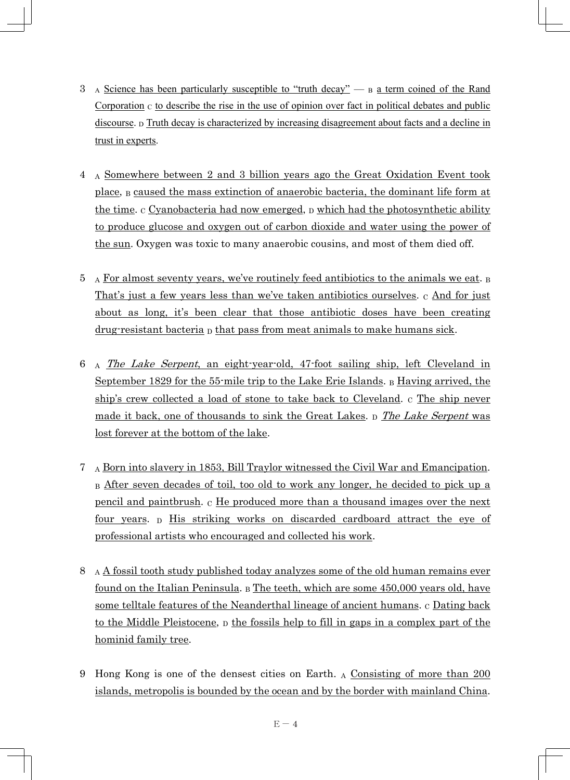- $3$  A Science has been particularly susceptible to "truth decay" B a term coined of the Rand Corporation  $\mathbf c$  to describe the rise in the use of opinion over fact in political debates and public discourse. D Truth decay is characterized by increasing disagreement about facts and a decline in trust in experts.
- 4 <sup>A</sup> Somewhere between 2 and 3 billion years ago the Great Oxidation Event took place,  $B$  caused the mass extinction of anaerobic bacteria, the dominant life form at the time. C Cyanobacteria had now emerged, p which had the photosynthetic ability to produce glucose and oxygen out of carbon dioxide and water using the power of the sun. Oxygen was toxic to many anaerobic cousins, and most of them died off.
- $5$  A For almost seventy years, we've routinely feed antibiotics to the animals we eat. B That's just a few years less than we've taken antibiotics ourselves. C And for just about as long, it's been clear that those antibiotic doses have been creating drug-resistant bacteria  $\bar{D}$  that pass from meat animals to make humans sick.
- 6 <sup>A</sup> The Lake Serpent, an eight-year-old, 47-foot sailing ship, left Cleveland in September 1829 for the 55-mile trip to the Lake Erie Islands. B Having arrived, the ship's crew collected a load of stone to take back to Cleveland. C The ship never made it back, one of thousands to sink the Great Lakes.  $\mathbf{p}$  The Lake Serpent was lost forever at the bottom of the lake.
- 7 <sup>A</sup> Born into slavery in 1853, Bill Traylor witnessed the Civil War and Emancipation. B After seven decades of toil, too old to work any longer, he decided to pick up a pencil and paintbrush.  $C$  He produced more than a thousand images over the next four years. D His striking works on discarded cardboard attract the eye of professional artists who encouraged and collected his work.
- 8 <sup>A</sup> A fossil tooth study published today analyzes some of the old human remains ever found on the Italian Peninsula.  $_B$  The teeth, which are some 450,000 years old, have some telltale features of the Neanderthal lineage of ancient humans. C Dating back to the Middle Pleistocene, p the fossils help to fill in gaps in a complex part of the hominid family tree.
- 9 Hong Kong is one of the densest cities on Earth. A Consisting of more than 200 islands, metropolis is bounded by the ocean and by the border with mainland China.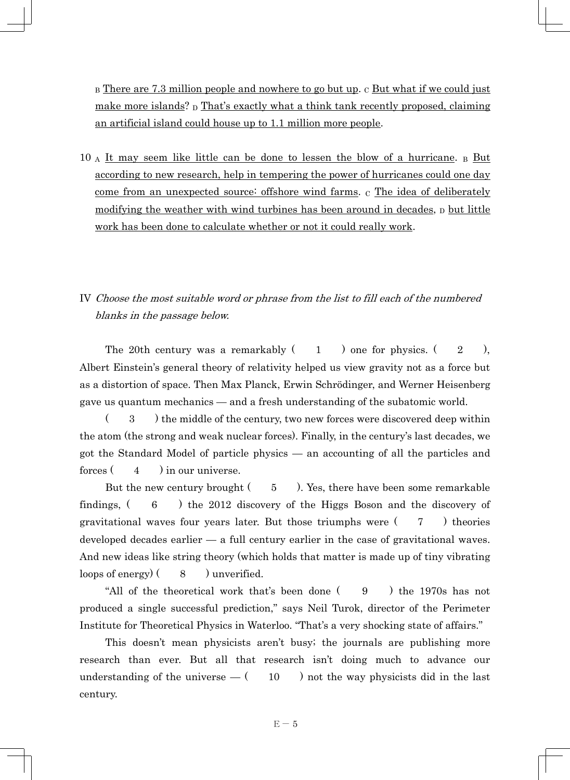$B$  There are 7.3 million people and nowhere to go but up.  $C$  But what if we could just make more islands? p That's exactly what a think tank recently proposed, claiming an artificial island could house up to 1.1 million more people.

 $10_A$  It may seem like little can be done to lessen the blow of a hurricane. B But according to new research, help in tempering the power of hurricanes could one day come from an unexpected source: offshore wind farms. C The idea of deliberately modifying the weather with wind turbines has been around in decades, p but little work has been done to calculate whether or not it could really work.

### IV Choose the most suitable word or phrase from the list to fill each of the numbered blanks in the passage below.

The 20th century was a remarkably  $(1)$  one for physics.  $(2)$ , Albert Einstein's general theory of relativity helped us view gravity not as a force but as a distortion of space. Then Max Planck, Erwin Schrödinger, and Werner Heisenberg gave us quantum mechanics — and a fresh understanding of the subatomic world.

 $($   $3$  ) the middle of the century, two new forces were discovered deep within the atom (the strong and weak nuclear forces). Finally, in the century's last decades, we got the Standard Model of particle physics — an accounting of all the particles and forces  $( 4 )$  in our universe.

But the new century brought  $(5 \t 5)$ . Yes, there have been some remarkable findings, ( 6 ) the 2012 discovery of the Higgs Boson and the discovery of gravitational waves four years later. But those triumphs were  $(7 \t)$  theories developed decades earlier — a full century earlier in the case of gravitational waves. And new ideas like string theory (which holds that matter is made up of tiny vibrating loops of energy)  $(8)$  unverified.

"All of the theoretical work that's been done ( 9 ) the 1970s has not produced a single successful prediction," says Neil Turok, director of the Perimeter Institute for Theoretical Physics in Waterloo. "That's a very shocking state of affairs."

This doesn't mean physicists aren't busy; the journals are publishing more research than ever. But all that research isn't doing much to advance our understanding of the universe  $-$  ( 10 ) not the way physicists did in the last century.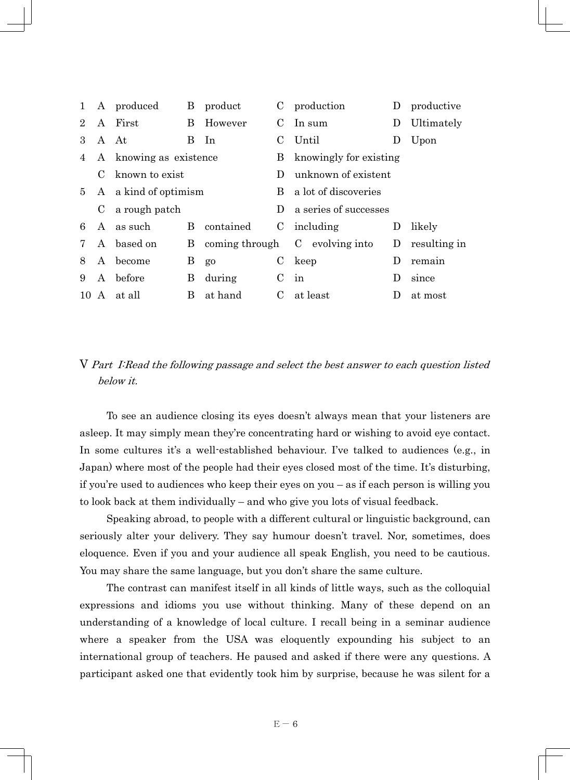|                |               | A produced             |   | B product |               | C production                   | D            | productive   |  |  |
|----------------|---------------|------------------------|---|-----------|---------------|--------------------------------|--------------|--------------|--|--|
| $\overline{2}$ | A             | First                  | B | However   |               | In sum                         | D            | Ultimately   |  |  |
| 3              | $\mathbf{A}$  | At                     | B | In        |               | Until                          | D            | Upon         |  |  |
|                |               | A knowing as existence |   |           |               | B knowingly for existing       |              |              |  |  |
|                | $\mathbf C$   | known to exist         |   |           | $\mathbf{D}$  | unknown of existent            |              |              |  |  |
|                |               | 5 A a kind of optimism |   |           | <sub>B</sub>  | a lot of discoveries           |              |              |  |  |
|                | $\mathcal{C}$ | a rough patch          |   |           | D             | a series of successes          |              |              |  |  |
| 6              | $\mathbf{A}$  | as such                | B | contained |               | C including                    | D            | likely       |  |  |
|                |               | A based on             | B |           |               | coming through C evolving into | D            | resulting in |  |  |
| 8.             |               | A become               | B | $g_0$     | C             | keep                           | $\Box$       | remain       |  |  |
| 9              |               | A before               | B | during    | $\rm C$       | in                             | D            | since        |  |  |
|                |               | 10 A at all            | B | at hand   | $\mathcal{C}$ | at least                       | $\mathbf{D}$ | at most      |  |  |

### V Part I:Read the following passage and select the best answer to each question listed below it.

To see an audience closing its eyes doesn't always mean that your listeners are asleep. It may simply mean they're concentrating hard or wishing to avoid eye contact. In some cultures it's a well-established behaviour. I've talked to audiences (e.g., in Japan) where most of the people had their eyes closed most of the time. It's disturbing, if you're used to audiences who keep their eyes on you – as if each person is willing you to look back at them individually – and who give you lots of visual feedback.

Speaking abroad, to people with a different cultural or linguistic background, can seriously alter your delivery. They say humour doesn't travel. Nor, sometimes, does eloquence. Even if you and your audience all speak English, you need to be cautious. You may share the same language, but you don't share the same culture.

The contrast can manifest itself in all kinds of little ways, such as the colloquial expressions and idioms you use without thinking. Many of these depend on an understanding of a knowledge of local culture. I recall being in a seminar audience where a speaker from the USA was eloquently expounding his subject to an international group of teachers. He paused and asked if there were any questions. A participant asked one that evidently took him by surprise, because he was silent for a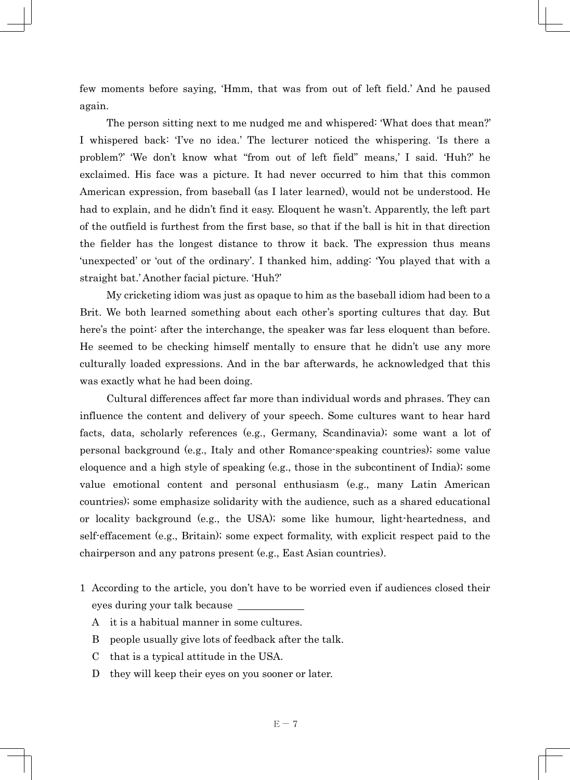few moments before saying, 'Hmm, that was from out of left field.' And he paused again.

The person sitting next to me nudged me and whispered: 'What does that mean?' I whispered back: 'I've no idea.' The lecturer noticed the whispering. 'Is there a problem?' 'We don't know what "from out of left field" means,' I said. 'Huh?' he exclaimed. His face was a picture. It had never occurred to him that this common American expression, from baseball (as I later learned), would not be understood. He had to explain, and he didn't find it easy. Eloquent he wasn't. Apparently, the left part of the outfield is furthest from the first base, so that if the ball is hit in that direction the fielder has the longest distance to throw it back. The expression thus means 'unexpected' or 'out of the ordinary'. I thanked him, adding: 'You played that with a straight bat.' Another facial picture. 'Huh?'

My cricketing idiom was just as opaque to him as the baseball idiom had been to a Brit. We both learned something about each other's sporting cultures that day. But here's the point: after the interchange, the speaker was far less eloquent than before. He seemed to be checking himself mentally to ensure that he didn't use any more culturally loaded expressions. And in the bar afterwards, he acknowledged that this was exactly what he had been doing.

Cultural differences affect far more than individual words and phrases. They can influence the content and delivery of your speech. Some cultures want to hear hard facts, data, scholarly references (e.g., Germany, Scandinavia); some want a lot of personal background (e.g., Italy and other Romance-speaking countries); some value eloquence and a high style of speaking (e.g., those in the subcontinent of India); some value emotional content and personal enthusiasm (e.g., many Latin American countries); some emphasize solidarity with the audience, such as a shared educational or locality background (e.g., the USA); some like humour, light-heartedness, and self-effacement (e.g., Britain); some expect formality, with explicit respect paid to the chairperson and any patrons present (e.g., East Asian countries).

- 1 According to the article, you don't have to be worried even if audiences closed their eyes during your talk because
	- A it is a habitual manner in some cultures.
	- B people usually give lots of feedback after the talk.
	- C that is a typical attitude in the USA.
	- D they will keep their eyes on you sooner or later.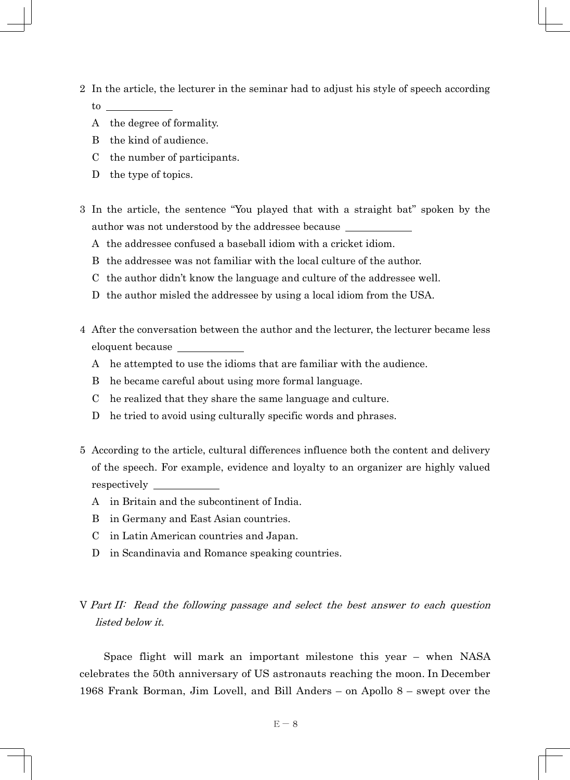2 In the article, the lecturer in the seminar had to adjust his style of speech according

to

- A the degree of formality.
- B the kind of audience.
- C the number of participants.
- D the type of topics.
- 3 In the article, the sentence "You played that with a straight bat" spoken by the author was not understood by the addressee because
	- A the addressee confused a baseball idiom with a cricket idiom.
	- B the addressee was not familiar with the local culture of the author.
	- C the author didn't know the language and culture of the addressee well.
	- D the author misled the addressee by using a local idiom from the USA.
- 4 After the conversation between the author and the lecturer, the lecturer became less eloquent because
	- A he attempted to use the idioms that are familiar with the audience.
	- B he became careful about using more formal language.
	- C he realized that they share the same language and culture.
	- D he tried to avoid using culturally specific words and phrases.
- 5 According to the article, cultural differences influence both the content and delivery of the speech. For example, evidence and loyalty to an organizer are highly valued respectively
	- A in Britain and the subcontinent of India.
	- B in Germany and East Asian countries.
	- C in Latin American countries and Japan.
	- D in Scandinavia and Romance speaking countries.

#### V Part II: Read the following passage and select the best answer to each question listed below it.

Space flight will mark an important milestone this year – when NASA celebrates the 50th anniversary of US astronauts reaching the moon. In December 1968 Frank Borman, Jim Lovell, and Bill Anders – on Apollo 8 – swept over the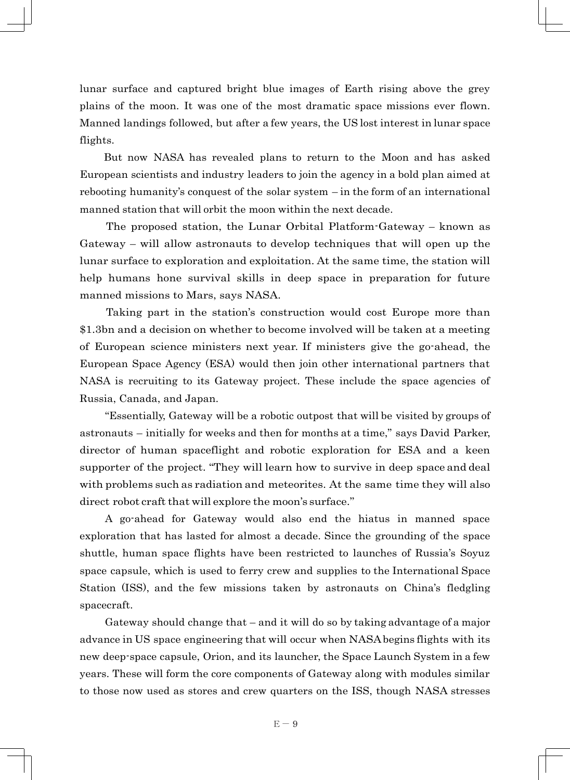lunar surface and captured bright blue images of Earth rising above the grey plains of the moon. It was one of the most dramatic space missions ever flown. Manned landings followed, but after a few years, the US lost interest in lunar space flights.

But now NASA has revealed plans to return to the Moon and has asked European scientists and industry leaders to join the agency in a bold plan aimed at rebooting humanity's conquest of the solar system – in the form of an international manned station that will orbit the moon within the next decade.

The proposed station, the Lunar Orbital Platform-Gateway – known as Gateway – will allow astronauts to develop techniques that will open up the lunar surface to exploration and exploitation. At the same time, the station will help humans hone survival skills in deep space in preparation for future manned missions to Mars, says NASA.

Taking part in the station's construction would cost Europe more than \$1.3bn and a decision on whether to become involved will be taken at a meeting of European science ministers next year. If ministers give the go-ahead, the European Space Agency (ESA) would then join other international partners that NASA is recruiting to its Gateway project. These include the space agencies of Russia, Canada, and Japan.

"Essentially, Gateway will be a robotic outpost that will be visited by groups of astronauts – initially for weeks and then for months at a time," says David Parker, director of human spaceflight and robotic exploration for ESA and a keen supporter of the project. "They will learn how to survive in deep space and deal with problems such as radiation and meteorites. At the same time they will also direct robot craft that will explore the moon's surface."

A go-ahead for Gateway would also end the hiatus in manned space exploration that has lasted for almost a decade. Since the grounding of the space shuttle, human space flights have been restricted to launches of Russia's Soyuz space capsule, which is used to ferry crew and supplies to the International Space Station (ISS), and the few missions taken by astronauts on China's fledgling spacecraft.

Gateway should change that – and it will do so by taking advantage of a major advance in US space engineering that will occur when NASAbegins flights with its new deep-space capsule, Orion, and its launcher, the Space Launch System in a few years. These will form the core components of Gateway along with modules similar to those now used as stores and crew quarters on the ISS, though NASA stresses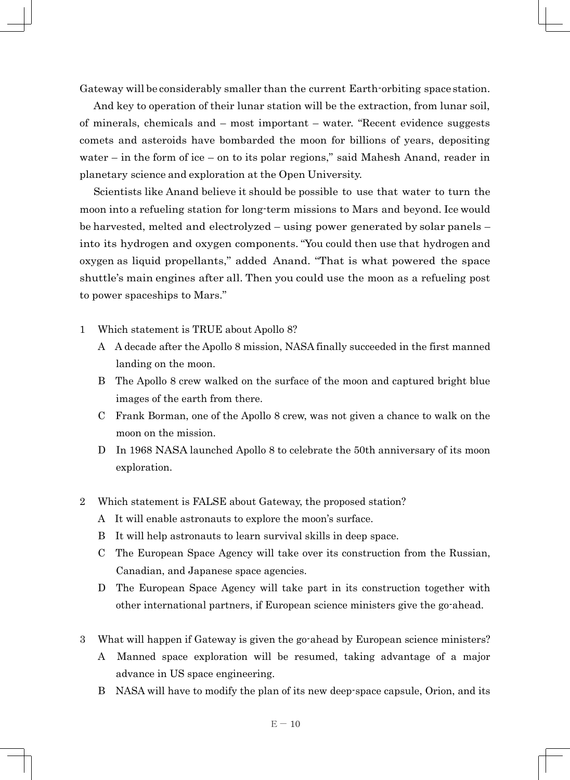Gateway will be considerably smaller than the current Earth-orbiting space station.

And key to operation of their lunar station will be the extraction, from lunar soil, of minerals, chemicals and – most important – water. "Recent evidence suggests comets and asteroids have bombarded the moon for billions of years, depositing water – in the form of ice – on to its polar regions," said Mahesh Anand, reader in planetary science and exploration at the Open University.

Scientists like Anand believe it should be possible to use that water to turn the moon into a refueling station for long-term missions to Mars and beyond. Ice would be harvested, melted and electrolyzed – using power generated by solar panels – into its hydrogen and oxygen components. "You could then use that hydrogen and oxygen as liquid propellants," added Anand. "That is what powered the space shuttle's main engines after all. Then you could use the moon as a refueling post to power spaceships to Mars."

- 1 Which statement is TRUE about Apollo 8?
	- A A decade after the Apollo 8 mission, NASA finally succeeded in the first manned landing on the moon.
	- B The Apollo 8 crew walked on the surface of the moon and captured bright blue images of the earth from there.
	- C Frank Borman, one of the Apollo 8 crew, was not given a chance to walk on the moon on the mission.
	- D In 1968 NASA launched Apollo 8 to celebrate the 50th anniversary of its moon exploration.
- 2 Which statement is FALSE about Gateway, the proposed station?
	- A It will enable astronauts to explore the moon's surface.
	- B It will help astronauts to learn survival skills in deep space.
	- C The European Space Agency will take over its construction from the Russian, Canadian, and Japanese space agencies.
	- D The European Space Agency will take part in its construction together with other international partners, if European science ministers give the go-ahead.
- 3 What will happen if Gateway is given the go-ahead by European science ministers?
	- A Manned space exploration will be resumed, taking advantage of a major advance in US space engineering.
	- B NASA will have to modify the plan of its new deep-space capsule, Orion, and its